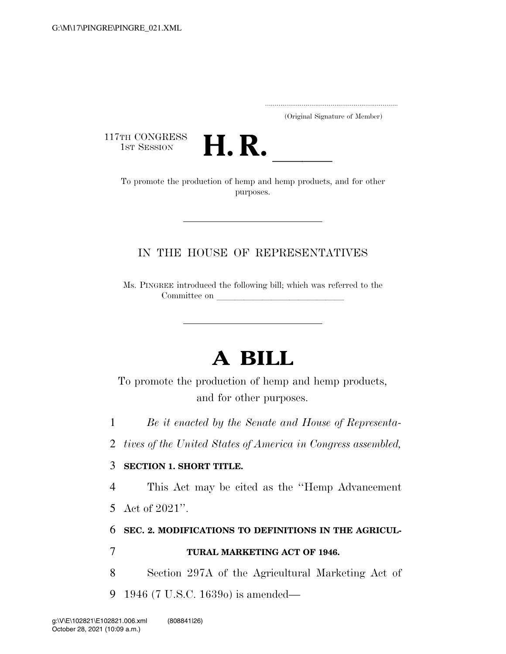.....................................................................

(Original Signature of Member)

117TH CONGRESS



To promote the production of hemp and hemp products, and for other purposes.

## IN THE HOUSE OF REPRESENTATIVES

Ms. PINGREE introduced the following bill; which was referred to the Committee on

# **A BILL**

To promote the production of hemp and hemp products, and for other purposes.

1 *Be it enacted by the Senate and House of Representa-*

2 *tives of the United States of America in Congress assembled,* 

### 3 **SECTION 1. SHORT TITLE.**

4 This Act may be cited as the ''Hemp Advancement

5 Act of 2021''.

## 6 **SEC. 2. MODIFICATIONS TO DEFINITIONS IN THE AGRICUL-**

## 7 **TURAL MARKETING ACT OF 1946.**

8 Section 297A of the Agricultural Marketing Act of 9 1946 (7 U.S.C. 1639o) is amended—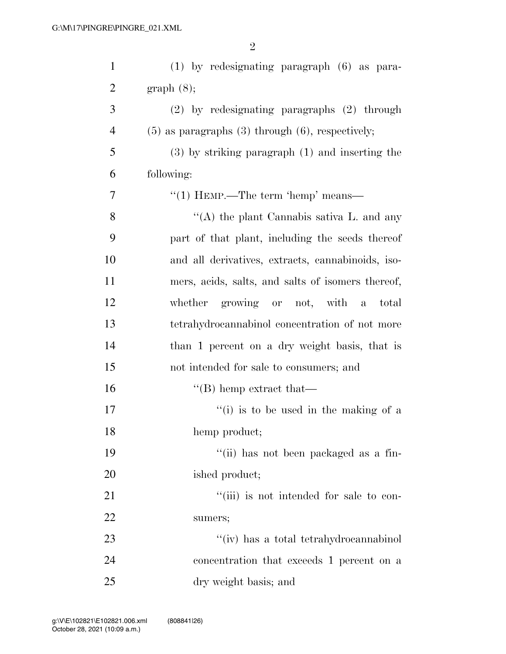| $\mathbf{1}$   | $(1)$ by redesignating paragraph $(6)$ as para-         |
|----------------|---------------------------------------------------------|
| $\overline{2}$ | graph(8);                                               |
| 3              | $(2)$ by redesignating paragraphs $(2)$ through         |
| $\overline{4}$ | $(5)$ as paragraphs $(3)$ through $(6)$ , respectively; |
| 5              | $(3)$ by striking paragraph $(1)$ and inserting the     |
| 6              | following:                                              |
| 7              | "(1) HEMP.—The term 'hemp' means—                       |
| 8              | "(A) the plant Cannabis sativa L. and any               |
| 9              | part of that plant, including the seeds thereof         |
| 10             | and all derivatives, extracts, cannabinoids, iso-       |
| 11             | mers, acids, salts, and salts of isomers thereof,       |
| 12             | whether growing or not, with a<br>total                 |
| 13             | tetrahydrocannabinol concentration of not more          |
| 14             | than 1 percent on a dry weight basis, that is           |
| 15             | not intended for sale to consumers; and                 |
| 16             | $\lq\lq$ hemp extract that —                            |
| 17             | "(i) is to be used in the making of a                   |
| 18             | hemp product;                                           |
| 19             | "(ii) has not been packaged as a fin-                   |
| 20             | ished product;                                          |
| 21             | "(iii) is not intended for sale to con-                 |
| 22             | sumers;                                                 |
| 23             | "(iv) has a total tetrahydrocannabinol                  |
| 24             | concentration that exceeds 1 percent on a               |
| 25             | dry weight basis; and                                   |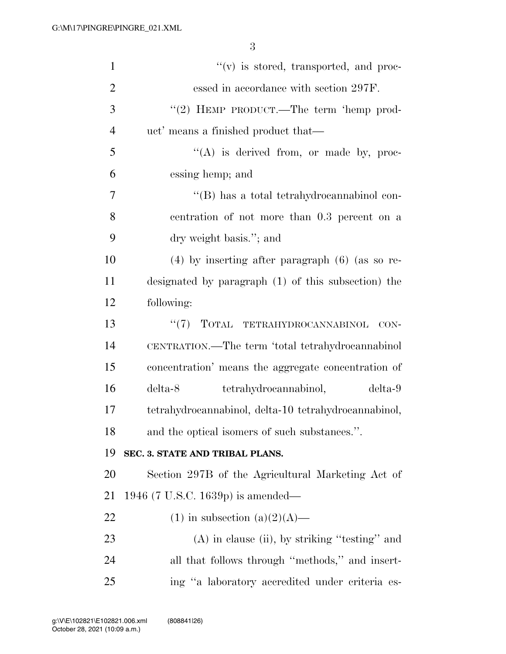| $\mathbf{1}$   | $f'(v)$ is stored, transported, and proc-            |
|----------------|------------------------------------------------------|
| $\overline{2}$ | essed in accordance with section 297F.               |
| 3              | "(2) HEMP PRODUCT.—The term 'hemp prod-              |
| $\overline{4}$ | uct' means a finished product that—                  |
| 5              | "(A) is derived from, or made by, proc-              |
| 6              | essing hemp; and                                     |
| 7              | "(B) has a total tetrahydrocannabinol con-           |
| 8              | centration of not more than 0.3 percent on a         |
| 9              | dry weight basis."; and                              |
| 10             | $(4)$ by inserting after paragraph $(6)$ (as so re-  |
| 11             | designated by paragraph (1) of this subsection) the  |
| 12             | following:                                           |
| 13             | $``(7)$ TOTAL TETRAHYDROCANNABINOL<br>CON-           |
| 14             | CENTRATION.—The term 'total tetrahydrocannabinol     |
| 15             | concentration' means the aggregate concentration of  |
| 16             | delta-8<br>tetrahydrocannabinol,<br>delta-9          |
| 17             | tetrahydrocannabinol, delta-10 tetrahydrocannabinol, |
| 18             | and the optical isomers of such substances.".        |
| 19             | SEC. 3. STATE AND TRIBAL PLANS.                      |
| 20             | Section 297B of the Agricultural Marketing Act of    |
| 21             | 1946 (7 U.S.C. 1639p) is amended—                    |
| 22             | $(1)$ in subsection $(a)(2)(A)$ —                    |
| 23             | $(A)$ in clause (ii), by striking "testing" and      |
| 24             | all that follows through "methods," and insert-      |
| 25             | ing "a laboratory accredited under criteria es-      |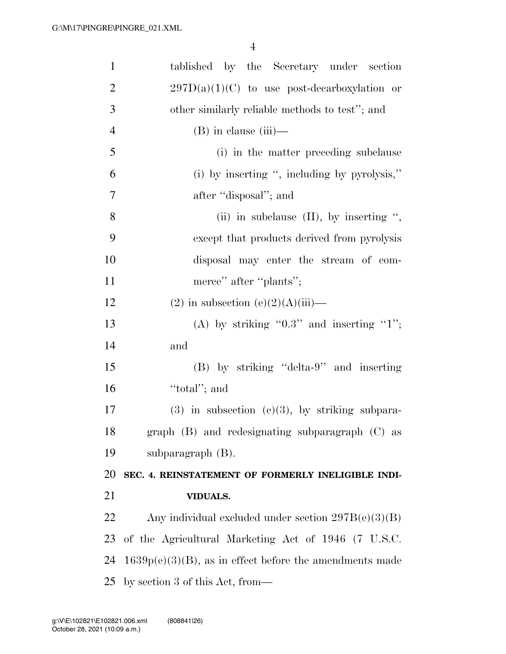| $\mathbf{1}$   | tablished by the Secretary under section                   |
|----------------|------------------------------------------------------------|
| $\overline{2}$ | $297D(a)(1)(C)$ to use post-decarboxylation or             |
| 3              | other similarly reliable methods to test"; and             |
| $\overline{4}$ | $(B)$ in clause $(iii)$ —                                  |
| 5              | (i) in the matter preceding subclause                      |
| 6              | (i) by inserting ", including by pyrolysis,"               |
| 7              | after "disposal"; and                                      |
| 8              | (ii) in subclause $(II)$ , by inserting ",                 |
| 9              | except that products derived from pyrolysis                |
| 10             | disposal may enter the stream of com-                      |
| 11             | merce" after "plants";                                     |
| 12             | $(2)$ in subsection $(e)(2)(A)(iii)$ —                     |
| 13             | (A) by striking " $0.3$ " and inserting "1";               |
| 14             | and                                                        |
| 15             | (B) by striking "delta-9" and inserting                    |
| 16             | "total"; and                                               |
| 17             | $(3)$ in subsection $(e)(3)$ , by striking subpara-        |
| 18             | graph (B) and redesignating subparagraph (C) as            |
| 19             | subparagraph $(B)$ .                                       |
| 20             | SEC. 4. REINSTATEMENT OF FORMERLY INELIGIBLE INDI-         |
| 21             | <b>VIDUALS.</b>                                            |
| 22             | Any individual excluded under section $297B(e)(3)(B)$      |
| 23             | of the Agricultural Marketing Act of 1946 (7 U.S.C.        |
| 24             | $1639p(e)(3)(B)$ , as in effect before the amendments made |
| 25             | by section 3 of this Act, from—                            |
|                |                                                            |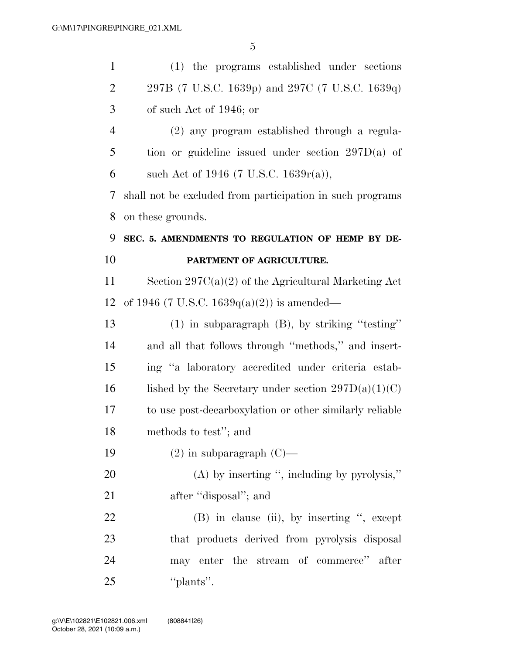| $\mathbf{1}$   | (1) the programs established under sections               |
|----------------|-----------------------------------------------------------|
| $\overline{2}$ | 297B (7 U.S.C. 1639p) and 297C (7 U.S.C. 1639q)           |
| 3              | of such Act of 1946; or                                   |
| $\overline{4}$ | (2) any program established through a regula-             |
| 5              | tion or guideline issued under section $297D(a)$ of       |
| 6              | such Act of 1946 (7 U.S.C. 1639 $r(a)$ ),                 |
| 7              | shall not be excluded from participation in such programs |
| 8              | on these grounds.                                         |
| 9              | SEC. 5. AMENDMENTS TO REGULATION OF HEMP BY DE-           |
| 10             | PARTMENT OF AGRICULTURE.                                  |
| 11             | Section $297C(a)(2)$ of the Agricultural Marketing Act    |
| 12             | of 1946 (7 U.S.C. 1639 $q(a)(2)$ ) is amended—            |
| 13             | $(1)$ in subparagraph $(B)$ , by striking "testing"       |
| 14             | and all that follows through "methods," and insert-       |
| 15             | ing "a laboratory accredited under criteria estab-        |
| 16             | lished by the Secretary under section $297D(a)(1)(C)$     |
| 17             | to use post-decarboxylation or other similarly reliable   |
| 18             | methods to test"; and                                     |
| 19             | $(2)$ in subparagraph $(C)$ —                             |
| <b>20</b>      | $(A)$ by inserting ", including by pyrolysis,"            |
| 21             | after "disposal"; and                                     |
| 22             | (B) in clause (ii), by inserting ", except                |
| 23             | that products derived from pyrolysis disposal             |
| 24             | may enter the stream of commerce" after                   |
| 25             | "plants".                                                 |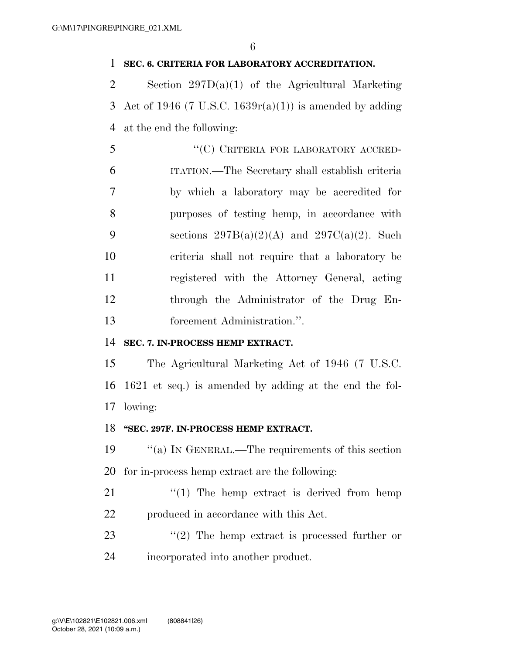#### **SEC. 6. CRITERIA FOR LABORATORY ACCREDITATION.**

 Section 297D(a)(1) of the Agricultural Marketing 3 Act of 1946 (7 U.S.C. 1639 $r(a)(1)$ ) is amended by adding at the end the following:

| 5  | "(C) CRITERIA FOR LABORATORY ACCRED-             |
|----|--------------------------------------------------|
| 6  | ITATION.—The Secretary shall establish criteria  |
| 7  | by which a laboratory may be accredited for      |
| 8  | purposes of testing hemp, in accordance with     |
| 9  | sections $297B(a)(2)(A)$ and $297C(a)(2)$ . Such |
| 10 | criteria shall not require that a laboratory be  |
| 11 | registered with the Attorney General, acting     |
| 12 | through the Administrator of the Drug En-        |
| 13 | forcement Administration.".                      |

#### **SEC. 7. IN-PROCESS HEMP EXTRACT.**

 The Agricultural Marketing Act of 1946 (7 U.S.C. 1621 et seq.) is amended by adding at the end the fol-lowing:

#### **''SEC. 297F. IN-PROCESS HEMP EXTRACT.**

 ''(a) IN GENERAL.—The requirements of this section for in-process hemp extract are the following:

21  $\frac{1}{2}$  The hemp extract is derived from hemp produced in accordance with this Act.

23  $\frac{1}{2}$  The hemp extract is processed further or incorporated into another product.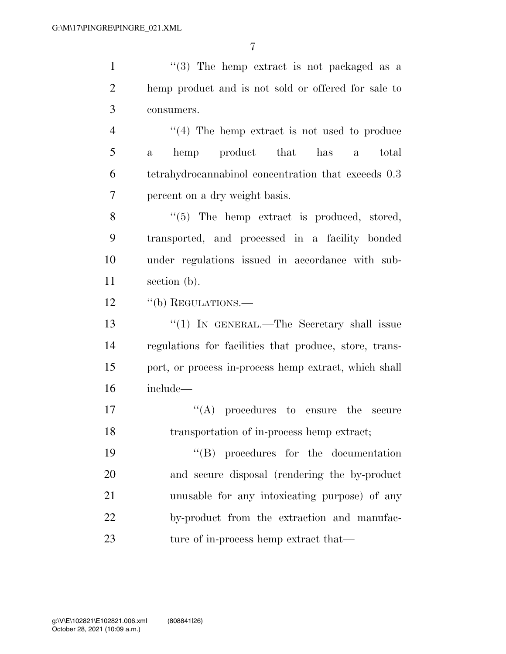1 ''(3) The hemp extract is not packaged as a hemp product and is not sold or offered for sale to consumers. 4 "(4) The hemp extract is not used to produce a hemp product that has a total tetrahydrocannabinol concentration that exceeds 0.3 percent on a dry weight basis. 8 "(5) The hemp extract is produced, stored, transported, and processed in a facility bonded under regulations issued in accordance with sub- section (b). 12 "(b) REGULATIONS. 13 "(1) IN GENERAL.—The Secretary shall issue regulations for facilities that produce, store, trans- port, or process in-process hemp extract, which shall include—  $\langle (A) \rangle$  procedures to ensure the secure transportation of in-process hemp extract;  $\text{``(B)}$  procedures for the documentation and secure disposal (rendering the by-product unusable for any intoxicating purpose) of any by-product from the extraction and manufac-

23 ture of in-process hemp extract that—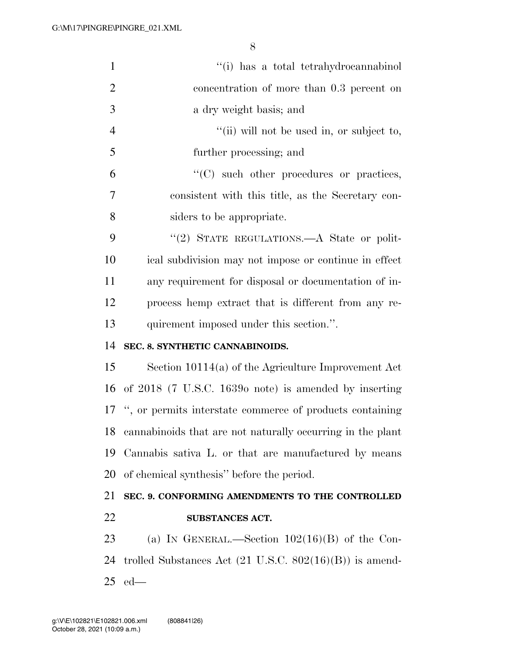| $\mathbf{1}$   | "(i) has a total tetrahydrocannabinol                              |
|----------------|--------------------------------------------------------------------|
| $\overline{2}$ | concentration of more than 0.3 percent on                          |
| 3              | a dry weight basis; and                                            |
| $\overline{4}$ | "(ii) will not be used in, or subject to,                          |
| 5              | further processing; and                                            |
| 6              | "(C) such other procedures or practices,                           |
| 7              | consistent with this title, as the Secretary con-                  |
| 8              | siders to be appropriate.                                          |
| 9              | "(2) STATE REGULATIONS.—A State or polit-                          |
| 10             | ical subdivision may not impose or continue in effect              |
| 11             | any requirement for disposal or documentation of in-               |
| 12             | process hemp extract that is different from any re-                |
| 13             | quirement imposed under this section.".                            |
|                |                                                                    |
| 14             | SEC. 8. SYNTHETIC CANNABINOIDS.                                    |
| 15             | Section $10114(a)$ of the Agriculture Improvement Act              |
| 16             | of $2018$ (7 U.S.C. 1639 $\sigma$ note) is amended by inserting    |
|                | 17 ", or permits interstate commerce of products containing        |
| 18             | cannabinoids that are not naturally occurring in the plant         |
| 19             | Cannabis sativa L. or that are manufactured by means               |
| 20             | of chemical synthesis" before the period.                          |
| 21             | SEC. 9. CONFORMING AMENDMENTS TO THE CONTROLLED                    |
| 22             | <b>SUBSTANCES ACT.</b>                                             |
| 23             | (a) IN GENERAL.—Section $102(16)(B)$ of the Con-                   |
| 24             | trolled Substances Act $(21 \text{ U.S.C. } 802(16)(B))$ is amend- |